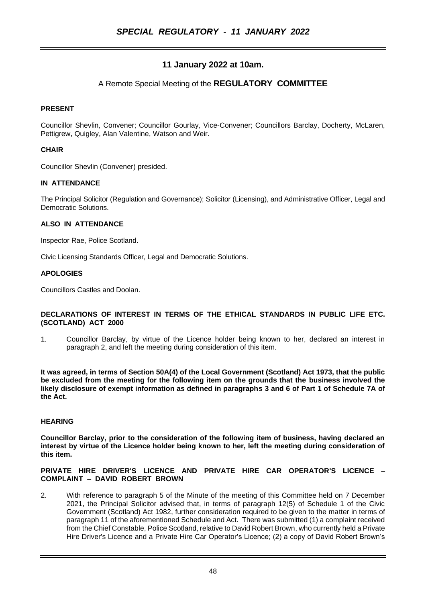# **11 January 2022 at 10am.**

# A Remote Special Meeting of the **REGULATORY COMMITTEE**

## **PRESENT**

Councillor Shevlin, Convener; Councillor Gourlay, Vice-Convener; Councillors Barclay, Docherty, McLaren, Pettigrew, Quigley, Alan Valentine, Watson and Weir.

## **CHAIR**

Councillor Shevlin (Convener) presided.

### **IN ATTENDANCE**

The Principal Solicitor (Regulation and Governance); Solicitor (Licensing), and Administrative Officer, Legal and Democratic Solutions.

### **ALSO IN ATTENDANCE**

Inspector Rae, Police Scotland.

Civic Licensing Standards Officer, Legal and Democratic Solutions.

### **APOLOGIES**

Councillors Castles and Doolan.

#### **DECLARATIONS OF INTEREST IN TERMS OF THE ETHICAL STANDARDS IN PUBLIC LIFE ETC. (SCOTLAND) ACT 2000**

1. Councillor Barclay, by virtue of the Licence holder being known to her, declared an interest in paragraph 2, and left the meeting during consideration of this item.

**It was agreed, in terms of Section 50A(4) of the Local Government (Scotland) Act 1973, that the public be excluded from the meeting for the following item on the grounds that the business involved the likely disclosure of exempt information as defined in paragraphs 3 and 6 of Part 1 of Schedule 7A of the Act.**

### **HEARING**

**Councillor Barclay, prior to the consideration of the following item of business, having declared an interest by virtue of the Licence holder being known to her, left the meeting during consideration of this item.**

#### **PRIVATE HIRE DRIVER'S LICENCE AND PRIVATE HIRE CAR OPERATOR'S LICENCE – COMPLAINT – DAVID ROBERT BROWN**

2. With reference to paragraph 5 of the Minute of the meeting of this Committee held on 7 December 2021, the Principal Solicitor advised that, in terms of paragraph 12(5) of Schedule 1 of the Civic Government (Scotland) Act 1982, further consideration required to be given to the matter in terms of paragraph 11 of the aforementioned Schedule and Act. There was submitted (1) a complaint received from the Chief Constable, Police Scotland, relative to David Robert Brown, who currently held a Private Hire Driver's Licence and a Private Hire Car Operator's Licence; (2) a copy of David Robert Brown's